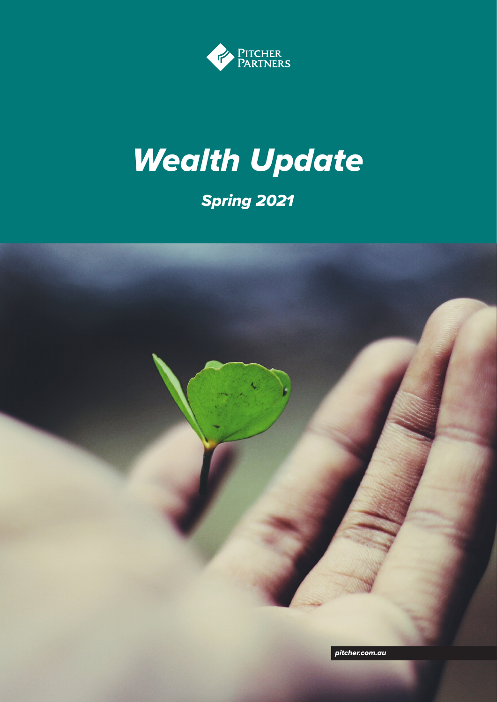

# *Wealth Update*

### *Spring 2021*

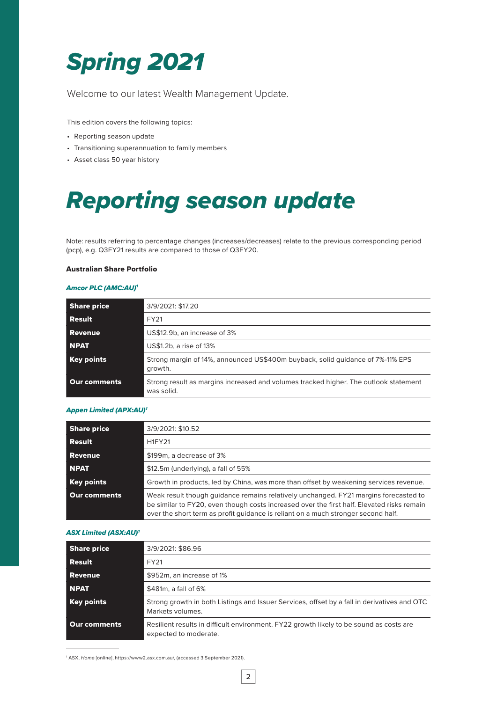# *Spring 2021*

Welcome to our latest Wealth Management Update.

This edition covers the following topics:

- Reporting season update
- Transitioning superannuation to family members
- Asset class 50 year history

### *Reporting season update*

Note: results referring to percentage changes (increases/decreases) relate to the previous corresponding period (pcp), e.g. Q3FY21 results are compared to those of Q3FY20.

### Australian Share Portfolio

#### *Amcor PLC (AMC:AU)1*

| <b>Share price</b>  | 3/9/2021: \$17.20                                                                                  |
|---------------------|----------------------------------------------------------------------------------------------------|
| Result              | FY21                                                                                               |
| <b>Revenue</b>      | US\$12.9b, an increase of 3%                                                                       |
| <b>NPAT</b>         | US\$1.2b, a rise of 13%                                                                            |
| <b>Key points</b>   | Strong margin of 14%, announced US\$400m buyback, solid quidance of 7%-11% EPS<br>growth.          |
| <b>Our comments</b> | Strong result as margins increased and volumes tracked higher. The outlook statement<br>was solid. |

#### *Appen Limited (APX:AU)1*

| <b>Share price</b>  | 3/9/2021: \$10.52                                                                                                                                                                                                                                                       |
|---------------------|-------------------------------------------------------------------------------------------------------------------------------------------------------------------------------------------------------------------------------------------------------------------------|
| Result              | <b>H1FY21</b>                                                                                                                                                                                                                                                           |
| <b>Revenue</b>      | \$199m, a decrease of 3%                                                                                                                                                                                                                                                |
| <b>NPAT</b>         | \$12.5m (underlying), a fall of 55%                                                                                                                                                                                                                                     |
| <b>Key points</b>   | Growth in products, led by China, was more than offset by weakening services revenue.                                                                                                                                                                                   |
| <b>Our comments</b> | Weak result though guidance remains relatively unchanged. FY21 margins forecasted to<br>be similar to FY20, even though costs increased over the first half. Elevated risks remain<br>over the short term as profit quidance is reliant on a much stronger second half. |

#### *ASX Limited (ASX:AU)1*

| <b>Share price</b>  | 3/9/2021: \$86.96                                                                                                |
|---------------------|------------------------------------------------------------------------------------------------------------------|
| Result              | FY21                                                                                                             |
| <b>Revenue</b>      | \$952m, an increase of 1%                                                                                        |
| <b>NPAT</b>         | \$481m, a fall of 6%                                                                                             |
| Key points          | Strong growth in both Listings and Issuer Services, offset by a fall in derivatives and OTC<br>Markets volumes.  |
| <b>Our comments</b> | Resilient results in difficult environment. FY22 growth likely to be sound as costs are<br>expected to moderate. |

1 ASX, *Home* [online], https://www2.asx.com.au/, (accessed 3 September 2021).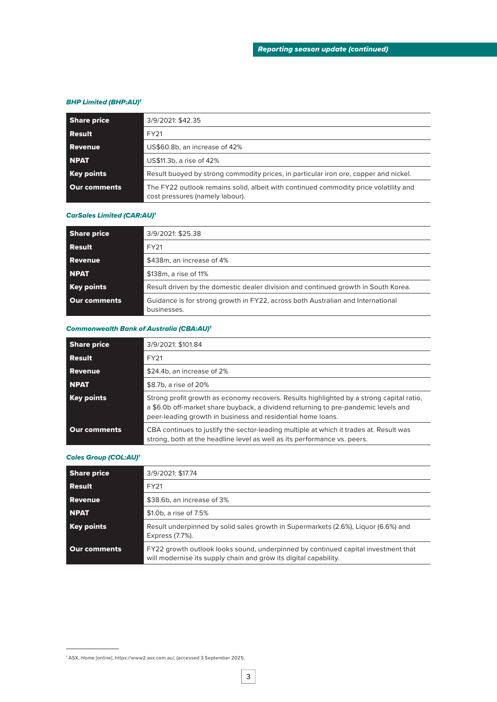#### *BHP Limited (BHP:AU)1*

| <b>Share price</b>  | 3/9/2021: \$42.35                                                                                                       |
|---------------------|-------------------------------------------------------------------------------------------------------------------------|
| Result              | FY21                                                                                                                    |
| <b>Revenue</b>      | US\$60.8b, an increase of 42%                                                                                           |
| <b>NPAT</b>         | US\$11.3b, a rise of 42%                                                                                                |
| <b>Key points</b>   | Result buoyed by strong commodity prices, in particular iron ore, copper and nickel.                                    |
| <b>Our comments</b> | The FY22 outlook remains solid, albeit with continued commodity price volatility and<br>cost pressures (namely labour). |

#### *CarSales Limited (CAR:AU)1*

| <b>Share price</b> | 3/9/2021: \$25.38                                                                              |
|--------------------|------------------------------------------------------------------------------------------------|
| Result             | FY21                                                                                           |
| Revenue            | \$438m, an increase of 4%                                                                      |
| <b>NPAT</b>        | \$138m, a rise of 11%                                                                          |
| Key points         | Result driven by the domestic dealer division and continued growth in South Korea.             |
| Our comments       | Guidance is for strong growth in FY22, across both Australian and International<br>businesses. |

#### *Commonwealth Bank of Australia (CBA:AU)1*

| <b>Share price</b> | 3/9/2021: \$101.84                                                                                                                                                                                                                            |
|--------------------|-----------------------------------------------------------------------------------------------------------------------------------------------------------------------------------------------------------------------------------------------|
| Result             | FY21                                                                                                                                                                                                                                          |
| <b>Revenue</b>     | \$24.4b, an increase of 2%                                                                                                                                                                                                                    |
| <b>NPAT</b>        | \$8.7b, a rise of 20%                                                                                                                                                                                                                         |
| Key points         | Strong profit growth as economy recovers. Results highlighted by a strong capital ratio.<br>a \$6.0b off-market share buyback, a dividend returning to pre-pandemic levels and<br>peer-leading growth in business and residential home loans. |
| Our comments       | CBA continues to justify the sector-leading multiple at which it trades at. Result was<br>strong, both at the headline level as well as its performance vs. peers.                                                                            |

#### *Coles Group (COL:AU)1*

| <b>Share price</b> | 3/9/2021: \$17.74                                                                                                                                     |
|--------------------|-------------------------------------------------------------------------------------------------------------------------------------------------------|
| Result             | FY <sub>21</sub>                                                                                                                                      |
| Revenue            | \$38.6b, an increase of 3%                                                                                                                            |
| <b>NPAT</b>        | \$1.0b, a rise of 7.5%                                                                                                                                |
| Key points         | Result underpinned by solid sales growth in Supermarkets (2.6%), Liquor (6.6%) and<br>Express (7.7%).                                                 |
| Our comments       | FY22 growth outlook looks sound, underpinned by continued capital investment that<br>will modernise its supply chain and grow its digital capability. |

<sup>1</sup> ASX, *Home* [online], https://www2.asx.com.au/, (accessed 3 September 2021).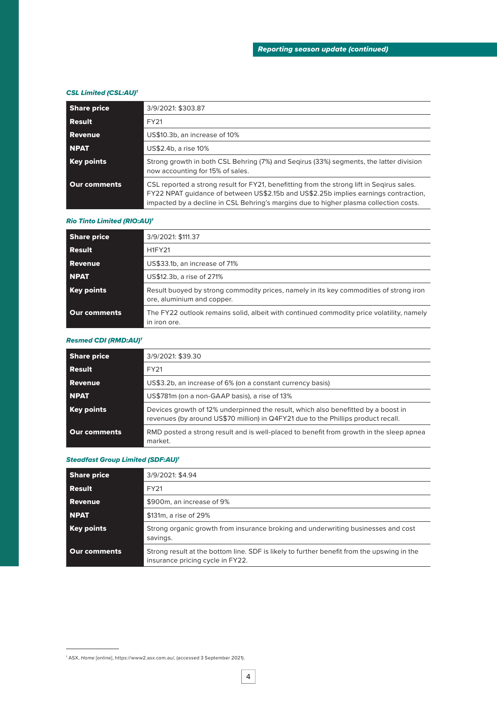#### *CSL Limited (CSL:AU)1*

| <b>Share price</b> | 3/9/2021: \$303.87                                                                                                                                                                                                                                                        |
|--------------------|---------------------------------------------------------------------------------------------------------------------------------------------------------------------------------------------------------------------------------------------------------------------------|
| Result             | FY21                                                                                                                                                                                                                                                                      |
| <b>Revenue</b>     | US\$10.3b, an increase of 10%                                                                                                                                                                                                                                             |
| <b>NPAT</b>        | US\$2.4b, a rise 10%                                                                                                                                                                                                                                                      |
| Key points         | Strong growth in both CSL Behring (7%) and Segirus (33%) segments, the latter division<br>now accounting for 15% of sales.                                                                                                                                                |
| Our comments       | CSL reported a strong result for FY21, benefitting from the strong lift in Segirus sales.<br>FY22 NPAT guidance of between US\$2.15b and US\$2.25b implies earnings contraction,<br>impacted by a decline in CSL Behring's margins due to higher plasma collection costs. |

#### *Rio Tinto Limited (RIO:AU)1*

| <b>Share price</b> | 3/9/2021: \$111.37                                                                                                   |
|--------------------|----------------------------------------------------------------------------------------------------------------------|
| Result             | <b>H1FY21</b>                                                                                                        |
| Revenue            | US\$33.1b, an increase of 71%                                                                                        |
| <b>NPAT</b>        | US\$12.3b, a rise of 271%                                                                                            |
| Key points         | Result buoyed by strong commodity prices, namely in its key commodities of strong iron<br>ore, aluminium and copper. |
| Our comments       | The FY22 outlook remains solid, albeit with continued commodity price volatility, namely<br>in iron ore.             |

#### *Resmed CDI (RMD:AU)1*

| <b>Share price</b>  | 3/9/2021: \$39.30                                                                                                                                                      |
|---------------------|------------------------------------------------------------------------------------------------------------------------------------------------------------------------|
| <b>Result</b>       | FY <sub>21</sub>                                                                                                                                                       |
| <b>Revenue</b>      | US\$3.2b, an increase of 6% (on a constant currency basis)                                                                                                             |
| <b>NPAT</b>         | US\$781m (on a non-GAAP basis), a rise of 13%                                                                                                                          |
| <b>Key points</b>   | Devices growth of 12% underpinned the result, which also benefitted by a boost in<br>revenues (by around US\$70 million) in Q4FY21 due to the Phillips product recall. |
| <b>Our comments</b> | RMD posted a strong result and is well-placed to benefit from growth in the sleep apnea<br>market.                                                                     |

#### *Steadfast Group Limited (SDF:AU)1*

| <b>Share price</b> | 3/9/2021: \$4.94                                                                                                               |
|--------------------|--------------------------------------------------------------------------------------------------------------------------------|
| <b>Result</b>      | FY21                                                                                                                           |
| Revenue            | \$900m, an increase of 9%                                                                                                      |
| <b>NPAT</b>        | \$131m, a rise of 29%                                                                                                          |
| Key points         | Strong organic growth from insurance broking and underwriting businesses and cost<br>savings.                                  |
| Our comments       | Strong result at the bottom line. SDF is likely to further benefit from the upswing in the<br>insurance pricing cycle in FY22. |

<sup>1</sup> ASX, *Home* [online], https://www2.asx.com.au/, (accessed 3 September 2021).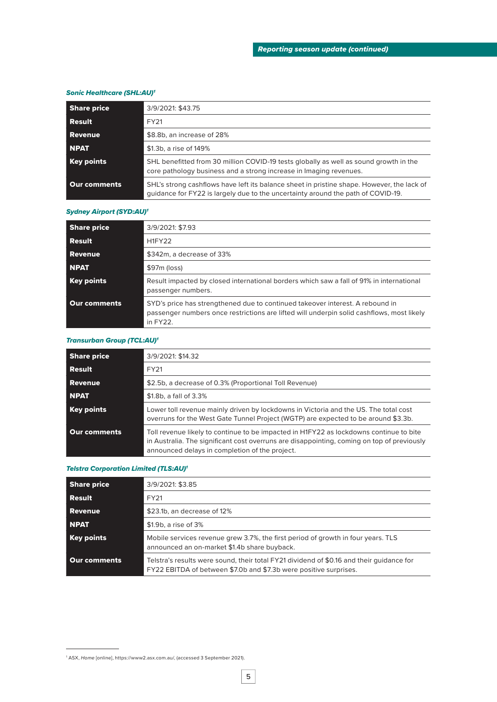#### *Sonic Healthcare (SHL:AU)1*

| <b>Share price</b>  | 3/9/2021: \$43.75                                                                                                                                                              |
|---------------------|--------------------------------------------------------------------------------------------------------------------------------------------------------------------------------|
| Result              | FY21                                                                                                                                                                           |
| <b>Revenue</b>      | \$8.8b, an increase of 28%                                                                                                                                                     |
| <b>NPAT</b>         | \$1.3b, a rise of 149%                                                                                                                                                         |
| Key points          | SHL benefitted from 30 million COVID-19 tests globally as well as sound growth in the<br>core pathology business and a strong increase in Imaging revenues.                    |
| <b>Our comments</b> | SHL's strong cashflows have left its balance sheet in pristine shape. However, the lack of<br>quidance for FY22 is largely due to the uncertainty around the path of COVID-19. |

#### *Sydney Airport (SYD:AU)1*

| <b>Share price</b> | 3/9/2021: \$7.93                                                                                                                                                                       |
|--------------------|----------------------------------------------------------------------------------------------------------------------------------------------------------------------------------------|
| <b>Result</b>      | <b>H1FY22</b>                                                                                                                                                                          |
| <b>Revenue</b>     | \$342m, a decrease of 33%                                                                                                                                                              |
| <b>NPAT</b>        | \$97m (loss)                                                                                                                                                                           |
| Key points         | Result impacted by closed international borders which saw a fall of 91% in international<br>passenger numbers.                                                                         |
| Our comments       | SYD's price has strengthened due to continued takeover interest. A rebound in<br>passenger numbers once restrictions are lifted will underpin solid cashflows, most likely<br>in FY22. |

#### *Transurban Group (TCL:AU)1*

| <b>Share price</b>  | 3/9/2021: \$14.32                                                                                                                                                                                                                      |
|---------------------|----------------------------------------------------------------------------------------------------------------------------------------------------------------------------------------------------------------------------------------|
| <b>Result</b>       | FY21                                                                                                                                                                                                                                   |
| Revenue             | \$2.5b, a decrease of 0.3% (Proportional Toll Revenue)                                                                                                                                                                                 |
| <b>NPAT</b>         | \$1.8b, a fall of 3.3%                                                                                                                                                                                                                 |
| Key points          | Lower toll revenue mainly driven by lockdowns in Victoria and the US. The total cost<br>overruns for the West Gate Tunnel Project (WGTP) are expected to be around \$3.3b.                                                             |
| <b>Our comments</b> | Toll revenue likely to continue to be impacted in H1FY22 as lockdowns continue to bite<br>in Australia. The significant cost overruns are disappointing, coming on top of previously<br>announced delays in completion of the project. |

#### *Telstra Corporation Limited (TLS:AU)1*

| <b>Share price</b> | 3/9/2021: \$3.85                                                                                                                                              |
|--------------------|---------------------------------------------------------------------------------------------------------------------------------------------------------------|
| Result             | FY21                                                                                                                                                          |
| <b>Revenue</b>     | \$23.1b, an decrease of 12%                                                                                                                                   |
| <b>NPAT</b>        | \$1.9b, a rise of 3%                                                                                                                                          |
| Key points         | Mobile services revenue grew 3.7%, the first period of growth in four years. TLS<br>announced an on-market \$1.4b share buyback.                              |
| Our comments       | Telstra's results were sound, their total FY21 dividend of \$0.16 and their quidance for<br>FY22 EBITDA of between \$7.0b and \$7.3b were positive surprises. |

<sup>1</sup> ASX, *Home* [online], https://www2.asx.com.au/, (accessed 3 September 2021).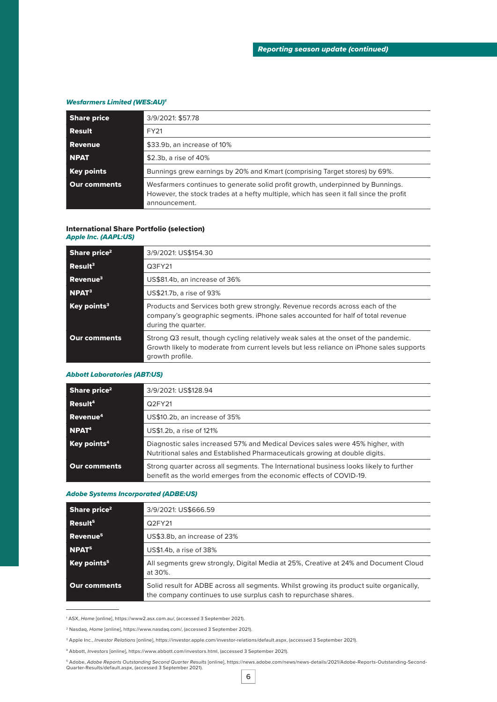#### *Wesfarmers Limited (WES:AU)1*

| <b>Share price</b> | 3/9/2021: \$57.78                                                                                                                                                                         |
|--------------------|-------------------------------------------------------------------------------------------------------------------------------------------------------------------------------------------|
| Result             | FY21                                                                                                                                                                                      |
| <b>Revenue</b>     | \$33.9b, an increase of 10%                                                                                                                                                               |
| <b>NPAT</b>        | \$2.3b, a rise of 40%                                                                                                                                                                     |
| Key points         | Bunnings grew earnings by 20% and Kmart (comprising Target stores) by 69%.                                                                                                                |
| Our comments       | Wesfarmers continues to generate solid profit growth, underpinned by Bunnings.<br>However, the stock trades at a hefty multiple, which has seen it fall since the profit<br>announcement. |

#### International Share Portfolio (selection)

#### *Apple Inc. (AAPL:US)*

| Share price <sup>2</sup>             | 3/9/2021: US\$154.30                                                                                                                                                                                |
|--------------------------------------|-----------------------------------------------------------------------------------------------------------------------------------------------------------------------------------------------------|
| $\overline{\phantom{a}}$ Result $^3$ | Q3FY21                                                                                                                                                                                              |
| $ $ Revenue <sup>3</sup>             | US\$81.4b, an increase of 36%                                                                                                                                                                       |
| NPAT <sup>3</sup>                    | US\$21.7b, a rise of 93%                                                                                                                                                                            |
| $\vert$ Key points <sup>3</sup>      | Products and Services both grew strongly. Revenue records across each of the<br>company's geographic segments. iPhone sales accounted for half of total revenue<br>during the quarter.              |
| Our comments                         | Strong Q3 result, though cycling relatively weak sales at the onset of the pandemic.<br>Growth likely to moderate from current levels but less reliance on iPhone sales supports<br>growth profile. |

#### *Abbott Laboratories (ABT:US)*

| Share price <sup>2</sup> | 3/9/2021: US\$128.94                                                                                                                                          |
|--------------------------|---------------------------------------------------------------------------------------------------------------------------------------------------------------|
| Recult <sup>4</sup>      | Q2FY21                                                                                                                                                        |
| Revenue <sup>4</sup>     | US\$10.2b, an increase of 35%                                                                                                                                 |
| NPAT <sup>4</sup>        | US\$1.2b, a rise of 121%                                                                                                                                      |
| Key points <sup>4</sup>  | Diagnostic sales increased 57% and Medical Devices sales were 45% higher, with<br>Nutritional sales and Established Pharmaceuticals growing at double digits. |
| <b>Our comments</b>      | Strong quarter across all segments. The International business looks likely to further<br>benefit as the world emerges from the economic effects of COVID-19. |

#### *Adobe Systems Incorporated (ADBE:US)*

| Share price <sup>2</sup>                 | 3/9/2021: US\$666.59                                                                                                                                        |
|------------------------------------------|-------------------------------------------------------------------------------------------------------------------------------------------------------------|
| $\overline{\phantom{a}}$ Result $^5$     | Q2FY21                                                                                                                                                      |
| Revenue <sup>5</sup>                     | US\$3.8b, an increase of 23%                                                                                                                                |
| NPAT <sup>5</sup>                        | US\$1.4b, a rise of 38%                                                                                                                                     |
| $\overline{\phantom{a}}$ Key points $^5$ | All segments grew strongly, Digital Media at 25%, Creative at 24% and Document Cloud<br>at 30%.                                                             |
| Our comments                             | Solid result for ADBE across all segments. Whilst growing its product suite organically,<br>the company continues to use surplus cash to repurchase shares. |

<sup>1</sup> ASX, *Home* [online], https://www2.asx.com.au/, (accessed 3 September 2021).

<sup>5</sup> Adobe, *Adobe Reports Outstanding Second Quarter Results* [online], https://news.adobe.com/news/news-details/2021/Adobe-Reports-Outstanding-Second-<br>Quarter-Results/default.aspx, (accessed 3 September 2021). \_\_\_\_\_\_\_\_\_\_\_

<sup>2</sup> Nasdaq, *Home* [online], https://www.nasdaq.com/, (accessed 3 September 2021).

<sup>3</sup> Apple Inc., *Investor Relations* [online], https://investor.apple.com/investor-relations/default.aspx, (accessed 3 September 2021).

<sup>4</sup> Abbott, *Investors* [online], https://www.abbott.com/investors.html, (accessed 3 September 2021).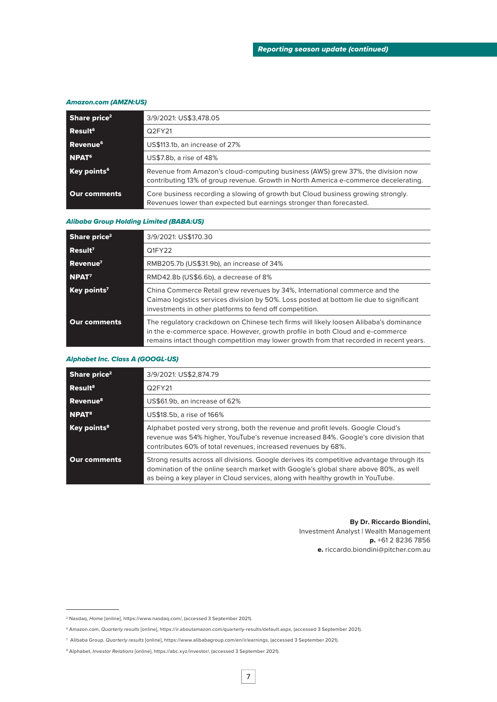#### *Amazon.com (AMZN:US)*

| Share price <sup>2</sup> | 3/9/2021: US\$3,478.05                                                                                                                                                 |
|--------------------------|------------------------------------------------------------------------------------------------------------------------------------------------------------------------|
| Result <sup>6</sup>      | Q2FY21                                                                                                                                                                 |
| Revenue <sup>6</sup>     | US\$113.1b, an increase of 27%                                                                                                                                         |
| NPAT <sup>6</sup>        | US\$7.8b, a rise of 48%                                                                                                                                                |
| Key points <sup>6</sup>  | Revenue from Amazon's cloud-computing business (AWS) grew 37%, the division now<br>contributing 13% of group revenue. Growth in North America e-commerce decelerating. |
| Our comments             | Core business recording a slowing of growth but Cloud business growing strongly.<br>Revenues lower than expected but earnings stronger than forecasted.                |

#### *Alibaba Group Holding Limited (BABA:US)*

| Share price <sup>2</sup> | 3/9/2021: US\$170.30                                                                                                                                                                                                                                             |
|--------------------------|------------------------------------------------------------------------------------------------------------------------------------------------------------------------------------------------------------------------------------------------------------------|
| Recult <sup>7</sup>      | Q1FY22                                                                                                                                                                                                                                                           |
| Revenue <sup>7</sup>     | RMB205.7b (US\$31.9b), an increase of 34%                                                                                                                                                                                                                        |
| NPAT <sup>7</sup>        | RMD42.8b (US\$6.6b), a decrease of 8%                                                                                                                                                                                                                            |
| Key points <sup>7</sup>  | China Commerce Retail grew revenues by 34%, International commerce and the<br>Caimao logistics services division by 50%. Loss posted at bottom lie due to significant<br>investments in other platforms to fend off competition.                                 |
| Our comments             | The regulatory crackdown on Chinese tech firms will likely loosen Alibaba's dominance<br>in the e-commerce space. However, growth profile in both Cloud and e-commerce<br>remains intact though competition may lower growth from that recorded in recent years. |

#### *Alphabet Inc. Class A (GOOGL-US)*

| Share price <sup>2</sup> | 3/9/2021: US\$2,874.79                                                                                                                                                                                                                                              |
|--------------------------|---------------------------------------------------------------------------------------------------------------------------------------------------------------------------------------------------------------------------------------------------------------------|
| Result <sup>8</sup>      | O2FY21                                                                                                                                                                                                                                                              |
| Revenue <sup>8</sup>     | US\$61.9b, an increase of 62%                                                                                                                                                                                                                                       |
| NPAT <sup>8</sup>        | US\$18.5b, a rise of 166%                                                                                                                                                                                                                                           |
| Key points <sup>8</sup>  | Alphabet posted very strong, both the revenue and profit levels. Google Cloud's<br>revenue was 54% higher, YouTube's revenue increased 84%. Google's core division that<br>contributes 60% of total revenues, increased revenues by 68%.                            |
| <b>Our comments</b>      | Strong results across all divisions. Google derives its competitive advantage through its<br>domination of the online search market with Google's global share above 80%, as well<br>as being a key player in Cloud services, along with healthy growth in YouTube. |

#### **By Dr. Riccardo Biondini,** Investment Analyst | Wealth Management p. +61 2 8236 7856

e. riccardo.biondini@pitcher.com.au

<sup>2</sup> Nasdaq, *Home* [online], https://www.nasdaq.com/, (accessed 3 September 2021).

<sup>6</sup> Amazon.com, *Quarterly results* [online], https://ir.aboutamazon.com/quarterly-results/default.aspx, (accessed 3 September 2021).

<sup>7</sup> Alibaba Group, *Quarterly results* [online], https://www.alibabagroup.com/en/ir/earnings, (accessed 3 September 2021).

<sup>8</sup> Alphabet, *Investor Relations* [online], https://abc.xyz/investor/, (accessed 3 September 2021).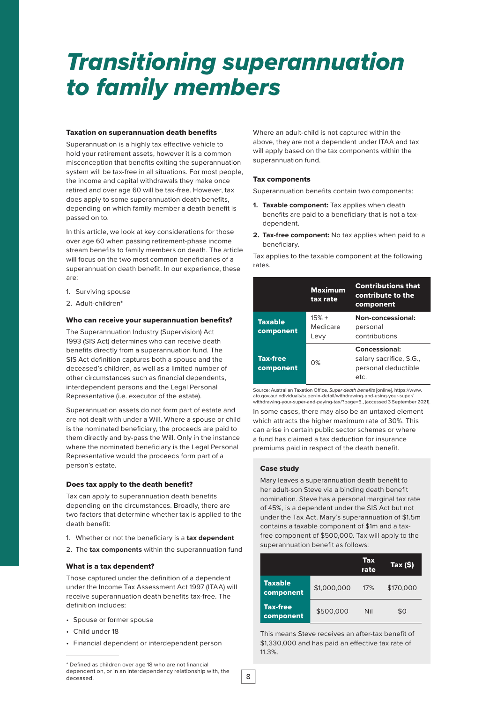### *Transitioning superannuation to family members*

#### Taxation on superannuation death benefits

Superannuation is a highly tax effective vehicle to hold your retirement assets, however it is a common misconception that benefits exiting the superannuation system will be tax-free in all situations. For most people, the income and capital withdrawals they make once retired and over age 60 will be tax-free. However, tax does apply to some superannuation death benefits, depending on which family member a death benefit is passed on to.

In this article, we look at key considerations for those over age 60 when passing retirement-phase income stream benefits to family members on death. The article will focus on the two most common beneficiaries of a superannuation death benefit. In our experience, these are:

- 1. Surviving spouse
- 2. Adult-children\*

#### Who can receive your superannuation benefits?

The Superannuation Industry (Supervision) Act 1993 (SIS Act) determines who can receive death benefits directly from a superannuation fund. The SIS Act definition captures both a spouse and the deceased's children, as well as a limited number of other circumstances such as financial dependents, interdependent persons and the Legal Personal Representative (i.e. executor of the estate).

Superannuation assets do not form part of estate and are not dealt with under a Will. Where a spouse or child is the nominated beneficiary, the proceeds are paid to them directly and by-pass the Will. Only in the instance where the nominated beneficiary is the Legal Personal Representative would the proceeds form part of a person's estate.

#### Does tax apply to the death benefit?

Tax can apply to superannuation death benefits depending on the circumstances. Broadly, there are two factors that determine whether tax is applied to the death benefit:

- 1. Whether or not the beneficiary is a **tax dependent**
- 2. The **tax components** within the superannuation fund

#### What is a tax dependent?

Those captured under the definition of a dependent under the Income Tax Assessment Act 1997 (ITAA) will receive superannuation death benefits tax-free. The definition includes:

- Spouse or former spouse
- Child under 18
- Financial dependent or interdependent person

#### Tax components

Superannuation benefits contain two components:

- **1. Taxable component:** Tax applies when death benefits are paid to a beneficiary that is not a taxdependent.
- **2. Tax-free component:** No tax applies when paid to a beneficiary.

Tax applies to the taxable component at the following rates.

|                              | <b>Maximum</b><br>tax rate  | <b>Contributions that</b><br>contribute to the<br>component             |  |
|------------------------------|-----------------------------|-------------------------------------------------------------------------|--|
| <b>Taxable</b><br>component  | $15% +$<br>Medicare<br>Levy | Non-concessional:<br>personal<br>contributions                          |  |
| <b>Tax-free</b><br>component | 0%                          | Concessional:<br>salary sacrifice, S.G.,<br>personal deductible<br>etc. |  |

Source: Australian Taxation Office, *Super death benefits* [online], https://www. ato.gov.au/individuals/super/in-detail/withdrawing-and-using-your-super/ withdrawing-your-super-and-paying-tax/?page=6., (accessed 3 September 2021). In some cases, there may also be an untaxed element which attracts the higher maximum rate of 30%. This can arise in certain public sector schemes or where a fund has claimed a tax deduction for insurance premiums paid in respect of the death benefit.

#### Case study

Mary leaves a superannuation death benefit to her adult-son Steve via a binding death benefit nomination. Steve has a personal marginal tax rate of 45%, is a dependent under the SIS Act but not under the Tax Act. Mary's superannuation of \$1.5m contains a taxable component of \$1m and a taxfree component of \$500,000. Tax will apply to the superannuation benefit as follows:

|                              |             | <b>Tax</b><br>rate | Tax (\$)  |
|------------------------------|-------------|--------------------|-----------|
| <b>Taxable</b><br>component  | \$1,000,000 | 17%                | \$170,000 |
| <b>Tax-free</b><br>component | \$500,000   | Nil                | \$0       |

This means Steve receives an after-tax benefit of \$1,330,000 and has paid an effective tax rate of 11.3%.

Where an adult-child is not captured within the above, they are not a dependent under ITAA and tax will apply based on the tax components within the superannuation fund.

<sup>\*</sup> Defined as children over age 18 who are not financial dependent on, or in an interdependency relationship with, the deceased.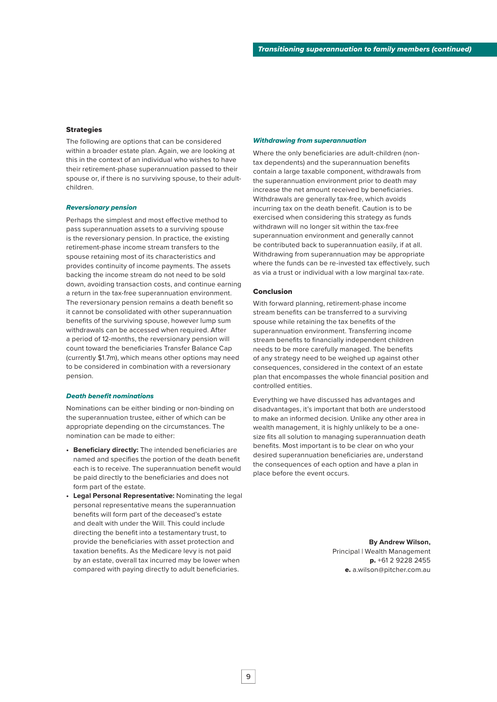#### **Strategies**

The following are options that can be considered within a broader estate plan. Again, we are looking at this in the context of an individual who wishes to have their retirement-phase superannuation passed to their spouse or, if there is no surviving spouse, to their adultchildren.

#### *Reversionary pension*

Perhaps the simplest and most effective method to pass superannuation assets to a surviving spouse is the reversionary pension. In practice, the existing retirement-phase income stream transfers to the spouse retaining most of its characteristics and provides continuity of income payments. The assets backing the income stream do not need to be sold down, avoiding transaction costs, and continue earning a return in the tax-free superannuation environment. The reversionary pension remains a death benefit so it cannot be consolidated with other superannuation benefits of the surviving spouse, however lump sum withdrawals can be accessed when required. After a period of 12-months, the reversionary pension will count toward the beneficiaries Transfer Balance Cap (currently \$1.7m), which means other options may need to be considered in combination with a reversionary pension.

#### *Death benefit nominations*

Nominations can be either binding or non-binding on the superannuation trustee, either of which can be appropriate depending on the circumstances. The nomination can be made to either:

- **• Beneficiary directly:** The intended beneficiaries are named and specifies the portion of the death benefit each is to receive. The superannuation benefit would be paid directly to the beneficiaries and does not form part of the estate.
- **• Legal Personal Representative:** Nominating the legal personal representative means the superannuation benefits will form part of the deceased's estate and dealt with under the Will. This could include directing the benefit into a testamentary trust, to provide the beneficiaries with asset protection and taxation benefits. As the Medicare levy is not paid by an estate, overall tax incurred may be lower when compared with paying directly to adult beneficiaries.

#### *Withdrawing from superannuation*

Where the only beneficiaries are adult-children (nontax dependents) and the superannuation benefits contain a large taxable component, withdrawals from the superannuation environment prior to death may increase the net amount received by beneficiaries. Withdrawals are generally tax-free, which avoids incurring tax on the death benefit. Caution is to be exercised when considering this strategy as funds withdrawn will no longer sit within the tax-free superannuation environment and generally cannot be contributed back to superannuation easily, if at all. Withdrawing from superannuation may be appropriate where the funds can be re-invested tax effectively, such as via a trust or individual with a low marginal tax-rate.

#### Conclusion

With forward planning, retirement-phase income stream benefits can be transferred to a surviving spouse while retaining the tax benefits of the superannuation environment. Transferring income stream benefits to financially independent children needs to be more carefully managed. The benefits of any strategy need to be weighed up against other consequences, considered in the context of an estate plan that encompasses the whole financial position and controlled entities.

Everything we have discussed has advantages and disadvantages, it's important that both are understood to make an informed decision. Unlike any other area in wealth management, it is highly unlikely to be a onesize fits all solution to managing superannuation death benefits. Most important is to be clear on who your desired superannuation beneficiaries are, understand the consequences of each option and have a plan in place before the event occurs.

> **By Andrew Wilson,** Principal | Wealth Management p. +61 2 9228 2455 e. a.wilson@pitcher.com.au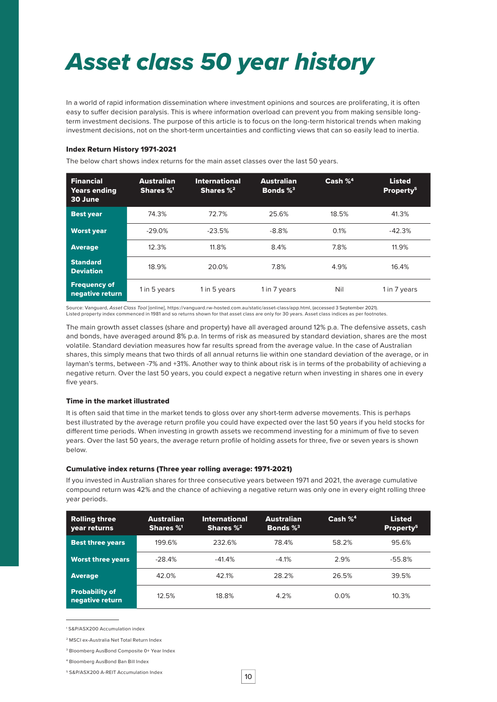## *Asset class 50 year history*

In a world of rapid information dissemination where investment opinions and sources are proliferating, it is often easy to suffer decision paralysis. This is where information overload can prevent you from making sensible longterm investment decisions. The purpose of this article is to focus on the long-term historical trends when making investment decisions, not on the short-term uncertainties and conflicting views that can so easily lead to inertia.

#### Index Return History 1971-2021

The below chart shows index returns for the main asset classes over the last 50 years.

| <b>Financial</b><br><b>Years ending</b><br>30 June | <b>Australian</b><br>Shares %1 | <b>International</b><br>Shares $\%^2$ | <b>Australian</b><br>Bonds $\%^3$ | Cash % <sup>4</sup> | <b>Listed</b><br>Property <sup>5</sup> |
|----------------------------------------------------|--------------------------------|---------------------------------------|-----------------------------------|---------------------|----------------------------------------|
| <b>Best year</b>                                   | 74.3%                          | 72.7%                                 | 25.6%                             | 18.5%               | 41.3%                                  |
| <b>Worst year</b>                                  | $-29.0%$                       | $-23.5%$                              | $-8.8%$                           | 0.1%                | $-42.3%$                               |
| <b>Average</b>                                     | 12.3%                          | 11.8%                                 | 8.4%                              | 7.8%                | 11.9%                                  |
| <b>Standard</b><br><b>Deviation</b>                | 18.9%                          | 20.0%                                 | 7.8%                              | 4.9%                | 16.4%                                  |
| <b>Frequency of</b><br>negative return             | 1 in 5 years                   | 1 in 5 years                          | 1 in 7 years                      | Nil                 | 1 in 7 years                           |

Source: Vanguard, *Asset Class Tool* [online], https://vanguard.rw-hosted.com.au/static/asset-class/app.html, (accessed 3 September 2021). Listed property index commenced in 1981 and so returns shown for that asset class are only for 30 years. Asset class indices as per footnotes.

The main growth asset classes (share and property) have all averaged around 12% p.a. The defensive assets, cash and bonds, have averaged around 8% p.a. In terms of risk as measured by standard deviation, shares are the most volatile. Standard deviation measures how far results spread from the average value. In the case of Australian shares, this simply means that two thirds of all annual returns lie within one standard deviation of the average, or in layman's terms, between -7% and +31%. Another way to think about risk is in terms of the probability of achieving a negative return. Over the last 50 years, you could expect a negative return when investing in shares one in every five years.

#### Time in the market illustrated

It is often said that time in the market tends to gloss over any short-term adverse movements. This is perhaps best illustrated by the average return profile you could have expected over the last 50 years if you held stocks for different time periods. When investing in growth assets we recommend investing for a minimum of five to seven years. Over the last 50 years, the average return profile of holding assets for three, five or seven years is shown below.

#### Cumulative index returns (Three year rolling average: 1971-2021)

If you invested in Australian shares for three consecutive years between 1971 and 2021, the average cumulative compound return was 42% and the chance of achieving a negative return was only one in every eight rolling three year periods.

| <b>Rolling three</b><br>vear returns     | Australian<br>Shares %1 | <b>International</b><br>Shares $\%^2$ | <b>Australian</b><br>Bonds $\%^3$ | Cash $\%^4$ | <b>Listed</b><br>Property <sup>5</sup> |
|------------------------------------------|-------------------------|---------------------------------------|-----------------------------------|-------------|----------------------------------------|
| <b>Best three years</b>                  | 199.6%                  | 232.6%                                | 78.4%                             | 58.2%       | 95.6%                                  |
| <b>Worst three years</b>                 | $-28.4%$                | $-41.4%$                              | $-4.1\%$                          | 2.9%        | $-55.8%$                               |
| <b>Average</b>                           | 42.0%                   | 42.1%                                 | 28.2%                             | 26.5%       | 39.5%                                  |
| <b>Probability of</b><br>negative return | 12.5%                   | 18.8%                                 | 4.2%                              | 0.0%        | 10.3%                                  |

1 S&P/ASX200 Accumulation index

<sup>2</sup> MSCI ex-Australia Net Total Return Index

<sup>3</sup> Bloomberg AusBond Composite 0+ Year Index

<sup>4</sup> Bloomberg AusBond Ban Bill Index

<sup>5</sup> S&P/ASX200 A-REIT Accumulation Index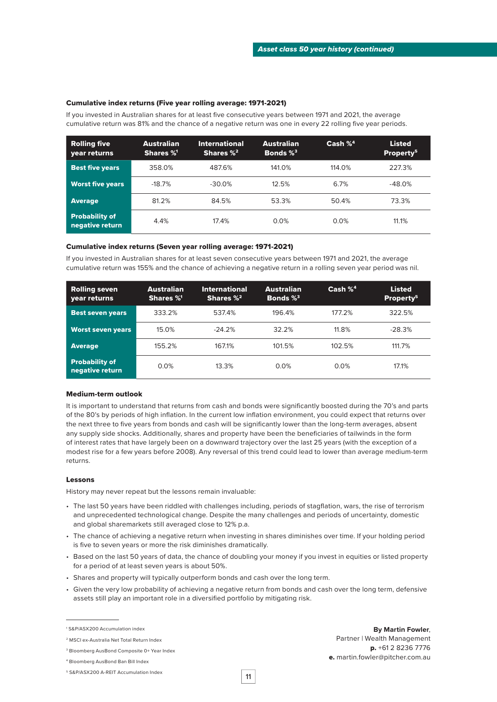#### Cumulative index returns (Five year rolling average: 1971-2021)

If you invested in Australian shares for at least five consecutive years between 1971 and 2021, the average cumulative return was 81% and the chance of a negative return was one in every 22 rolling five year periods.

| <b>Rolling five</b><br>vear returns      | <b>Australian</b><br>Shares %1 | <b>International</b><br>Shares $\%^2$ | <b>Australian</b><br>Bonds $\%^3$ | Cash $\%^4$ | <b>Listed</b><br>Property <sup>5</sup> |
|------------------------------------------|--------------------------------|---------------------------------------|-----------------------------------|-------------|----------------------------------------|
| <b>Best five years</b>                   | 358.0%                         | 487.6%                                | 141.0%                            | 114.0%      | 227.3%                                 |
| <b>Worst five years</b>                  | $-18.7%$                       | $-30.0\%$                             | 12.5%                             | 6.7%        | $-48.0%$                               |
| <b>Average</b>                           | 81.2%                          | 84.5%                                 | 53.3%                             | 50.4%       | 73.3%                                  |
| <b>Probability of</b><br>negative return | 4.4%                           | 17.4%                                 | 0.0%                              | 0.0%        | 11.1%                                  |

#### Cumulative index returns (Seven year rolling average: 1971-2021)

If you invested in Australian shares for at least seven consecutive years between 1971 and 2021, the average cumulative return was 155% and the chance of achieving a negative return in a rolling seven year period was nil.

| <b>Rolling seven</b><br>year returns     | <b>Australian</b><br>Shares %1 | <b>International</b><br>Shares $\%^2$ | <b>Australian</b><br>Bonds $\%^3$ | Cash $\%^4$ | <b>Listed</b><br>Property <sup>5</sup> |
|------------------------------------------|--------------------------------|---------------------------------------|-----------------------------------|-------------|----------------------------------------|
| <b>Best seven years</b>                  | 333.2%                         | 537.4%                                | 196.4%                            | 177.2%      | 322.5%                                 |
| <b>Worst seven years</b>                 | 15.0%                          | $-24.2%$                              | 32.2%                             | 11.8%       | $-28.3%$                               |
| <b>Average</b>                           | 155.2%                         | 167.1%                                | 101.5%                            | 102.5%      | 111.7%                                 |
| <b>Probability of</b><br>negative return | 0.0%                           | 13.3%                                 | $0.0\%$                           | $0.0\%$     | 17.1%                                  |

#### Medium-term outlook

It is important to understand that returns from cash and bonds were significantly boosted during the 70's and parts of the 80's by periods of high inflation. In the current low inflation environment, you could expect that returns over the next three to five years from bonds and cash will be significantly lower than the long-term averages, absent any supply side shocks. Additionally, shares and property have been the beneficiaries of tailwinds in the form of interest rates that have largely been on a downward trajectory over the last 25 years (with the exception of a modest rise for a few years before 2008). Any reversal of this trend could lead to lower than average medium-term returns.

#### Lessons

History may never repeat but the lessons remain invaluable:

- The last 50 years have been riddled with challenges including, periods of stagflation, wars, the rise of terrorism and unprecedented technological change. Despite the many challenges and periods of uncertainty, domestic and global sharemarkets still averaged close to 12% p.a.
- The chance of achieving a negative return when investing in shares diminishes over time. If your holding period is five to seven years or more the risk diminishes dramatically.
- Based on the last 50 years of data, the chance of doubling your money if you invest in equities or listed property for a period of at least seven years is about 50%.
- Shares and property will typically outperform bonds and cash over the long term.
- Given the very low probability of achieving a negative return from bonds and cash over the long term, defensive assets still play an important role in a diversified portfolio by mitigating risk.

1 S&P/ASX200 Accumulation index

**By Martin Fowler**, Partner | Wealth Management p. +61 2 8236 7776 e. martin.fowler@pitcher.com.au

11

<sup>2</sup> MSCI ex-Australia Net Total Return Index

<sup>3</sup> Bloomberg AusBond Composite 0+ Year Index

<sup>4</sup> Bloomberg AusBond Ban Bill Index

<sup>5</sup> S&P/ASX200 A-REIT Accumulation Index